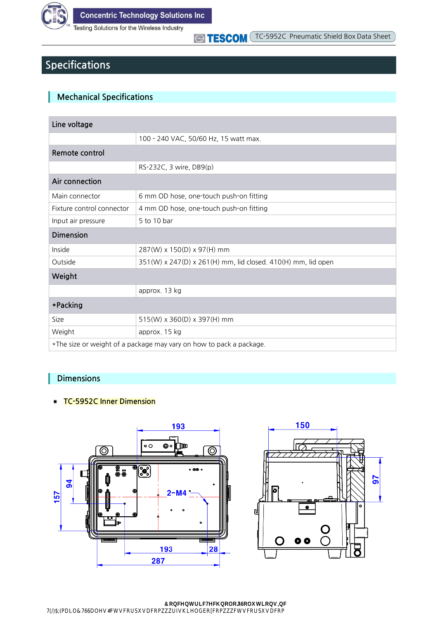

Testing Solutions for the Wireless Industry

## **Specifications**

## **Mechanical Specifications**

| Line voltage                                                        |                                                              |  |  |  |
|---------------------------------------------------------------------|--------------------------------------------------------------|--|--|--|
|                                                                     | 100 - 240 VAC, 50/60 Hz, 15 watt max.                        |  |  |  |
| Remote control                                                      |                                                              |  |  |  |
|                                                                     | RS-232C, 3 wire, DB9(p)                                      |  |  |  |
| Air connection                                                      |                                                              |  |  |  |
| Main connector                                                      | 6 mm OD hose, one-touch push-on fitting                      |  |  |  |
| Fixture control connector                                           | 4 mm OD hose, one-touch push-on fitting                      |  |  |  |
| Input air pressure                                                  | 5 to 10 bar                                                  |  |  |  |
| <b>Dimension</b>                                                    |                                                              |  |  |  |
| Inside                                                              | 287(W) x 150(D) x 97(H) mm                                   |  |  |  |
| Outside                                                             | 351(W) x 247(D) x 261(H) mm, lid closed. 410(H) mm, lid open |  |  |  |
| Weight                                                              |                                                              |  |  |  |
|                                                                     | approx. 13 kg                                                |  |  |  |
| *Packing                                                            |                                                              |  |  |  |
| Size                                                                | 515(W) x 360(D) x 397(H) mm                                  |  |  |  |
| Weight                                                              | approx. 15 kg                                                |  |  |  |
| *The size or weight of a package may vary on how to pack a package. |                                                              |  |  |  |

### **Dimensions**

#### **TC-5952C Inner Dimension**





R CVP WDL VV CPI V WV RT TP V

qpegpvtke Vge pqnqi qnwvkqpu pe VN 9/25/ C 9/25/<sup>6</sup> ockn V/cnguBevueqtr/wuceqo yyythu kgnfdq eqo yyyevueqtr/wuceqo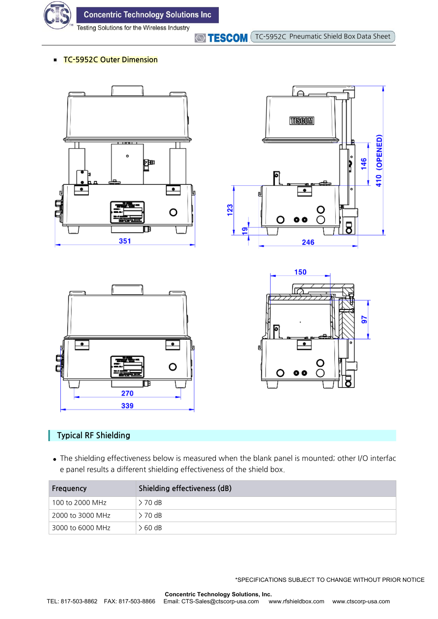

**Concentric Technology Solutions Inc** 

Testing Solutions for the Wireless Industry

**TESCOM** TC-5952C Pneumatic Shield Box Data Sheet

#### **TC-5952C Outer Dimension**









## **Typical RF Shielding**

**●** The shielding effectiveness below is measured when the blank panel is mounted; other I/O interfac e panel results a different shielding effectiveness of the shield box.

| Frequency        | Shielding effectiveness (dB) |  |  |
|------------------|------------------------------|--|--|
| 100 to 2000 MHz  | $> 70$ dB                    |  |  |
| 2000 to 3000 MHz | $> 70$ dB                    |  |  |
| 3000 to 6000 MHz | > 60 dB                      |  |  |

\*SPECIFICATIONS SUBJECT TO CHANGE WITHOUT PRIOR NOTICE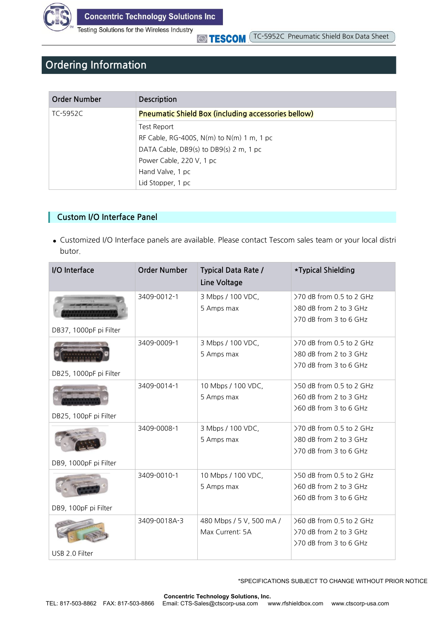

Testing Solutions for the Wireless Industry

**STESCOM** 

# **Ordering Information**

| Order Number | <b>Description</b>                                         |
|--------------|------------------------------------------------------------|
| TC-5952C     | <b>Pneumatic Shield Box (including accessories bellow)</b> |
|              | Test Report                                                |
|              | RF Cable, RG-400S, N(m) to N(m) 1 m, 1 pc                  |
|              | DATA Cable, DB9(s) to DB9(s) 2 m, 1 pc                     |
|              | Power Cable, 220 V, 1 pc                                   |
|              | Hand Valve, 1 pc                                           |
|              | Lid Stopper, 1 pc                                          |

### **Custom I/O Interface Panel**

**●** Customized I/O Interface panels are available. Please contact Tescom sales team or your local distri butor.

| I/O Interface          | <b>Order Number</b> | <b>Typical Data Rate /</b><br>Line Voltage  | *Typical Shielding                                                           |
|------------------------|---------------------|---------------------------------------------|------------------------------------------------------------------------------|
| DB37, 1000pF pi Filter | 3409-0012-1         | 3 Mbps / 100 VDC,<br>5 Amps max             | >70 dB from 0.5 to 2 GHz<br>>80 dB from 2 to 3 GHz<br>>70 dB from 3 to 6 GHz |
| DB25, 1000pF pi Filter | 3409-0009-1         | 3 Mbps / 100 VDC,<br>5 Amps max             | >70 dB from 0.5 to 2 GHz<br>>80 dB from 2 to 3 GHz<br>>70 dB from 3 to 6 GHz |
| DB25, 100pF pi Filter  | 3409-0014-1         | 10 Mbps / 100 VDC,<br>5 Amps max            | >50 dB from 0.5 to 2 GHz<br>>60 dB from 2 to 3 GHz<br>>60 dB from 3 to 6 GHz |
| DB9, 1000pF pi Filter  | 3409-0008-1         | 3 Mbps / 100 VDC,<br>5 Amps max             | >70 dB from 0.5 to 2 GHz<br>>80 dB from 2 to 3 GHz<br>>70 dB from 3 to 6 GHz |
| DB9, 100pF pi Filter   | 3409-0010-1         | 10 Mbps / 100 VDC,<br>5 Amps max            | >50 dB from 0.5 to 2 GHz<br>>60 dB from 2 to 3 GHz<br>>60 dB from 3 to 6 GHz |
| USB 2.0 Filter         | 3409-0018A-3        | 480 Mbps / 5 V, 500 mA /<br>Max Current: 5A | >60 dB from 0.5 to 2 GHz<br>>70 dB from 2 to 3 GHz<br>>70 dB from 3 to 6 GHz |

\*SPECIFICATIONS SUBJECT TO CHANGE WITHOUT PRIOR NOTICE